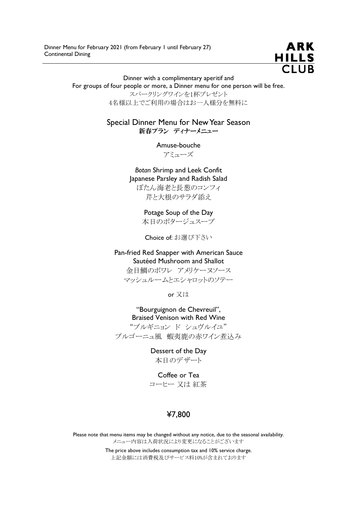

Dinner with a complimentary aperitif and

For groups of four people or more, a Dinner menu for one person will be free.

スパークリングワインを1杯プレゼント 4名様以上でご利用の場合はお一人様分を無料に

Special Dinner Menu for New Year Season 新春プラン ディナーメニュー

Amuse-bouche

アミューズ

Botan Shrimp and Leek Confit Japanese Parsley and Radish Salad ぼたん海老と長葱のコンフィ 芹と大根のサラダ添え

> Potage Soup of the Day 本日のポタージュスープ

Choice of: お選び下さい

Pan-fried Red Snapper with American Sauce Sautéed Mushroom and Shallot 金目鯛のポワレ アメリケーヌソース マッシュルームとエシャロットのソテー

or 又は

"Bourguignon de Chevreuil", Braised Venison with Red Wine "ブルギニョン ド シュヴルイユ" ブルゴーニュ風 蝦夷鹿の赤ワイン煮込み

> Dessert of the Day 本日のデザート

Coffee or Tea コーヒー 又は 紅茶

# ¥7,800

Please note that menu items may be changed without any notice, due to the seasonal availability. メニュー内容は入荷状況により変更になることがございます

> The price above includes consumption tax and 10% service charge. 上記金額には消費税及びサービス料10%が含まれております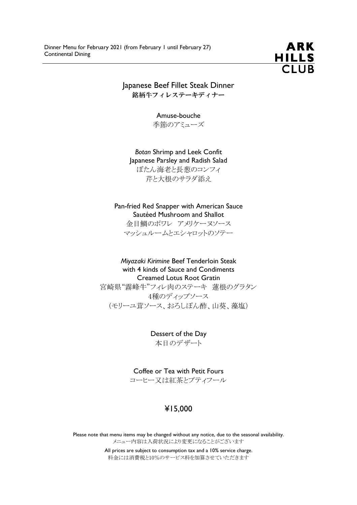

Japanese Beef Fillet Steak Dinner 銘柄牛フィレステーキディナー

> Amuse-bouche 季節のアミューズ

Botan Shrimp and Leek Confit Japanese Parsley and Radish Salad ぼたん海老と長葱のコンフィ 芹と大根のサラダ添え

Pan-fried Red Snapper with American Sauce Sautéed Mushroom and Shallot 金目鯛のポワレ アメリケーヌソース

マッシュルームとエシャロットのソテー

Miyazaki Kirimine Beef Tenderloin Steak with 4 kinds of Sauce and Condiments Creamed Lotus Root Gratin

宮崎県"霧峰牛"フィレ肉のステーキ 蓮根のグラタン 4種のディップソース (モリーユ茸ソース、おろしぽん酢、山葵、藻塩)

> Dessert of the Day 本日のデザート

Coffee or Tea with Petit Fours コーヒー又は紅茶とプティフール

## ¥15,000

Please note that menu items may be changed without any notice, due to the seasonal availability. メニュー内容は入荷状況により変更になることがございます

> All prices are subject to consumption tax and a 10% service charge. 料金には消費税と10%のサービス料を加算させていただきます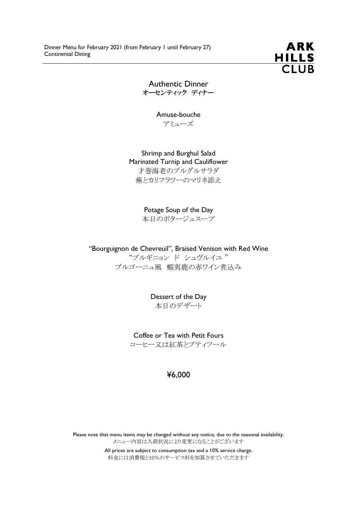

Authentic Dinner オーセンティック ディナー

> Amuse-bouche アミューズ

Shrimp and Burghul Salad Marinated Turnip and Cauliflower 才巻海老のブルグルサラダ 蕪とカリフラワーのマリネ添え

Potage Soup of the Day

本日のポタージュスープ

"Bourguignon de Chevreuil", Braised Venison with Red Wine "ブルギニョン ド シュヴルイユ " ブルゴーニュ風 蝦夷鹿の赤ワイン煮込み

> Dessert of the Day 本日のデザート

Coffee or Tea with Petit Fours コーヒー又は紅茶とプティフール

### ¥6,000

Please note that menu items may be changed without any notice, due to the seasonal availability. メニュー内容は入荷状況により変更になることがございます

> All prices are subject to consumption tax and a 10% service charge. 料金には消費税と10%のサービス料を加算させていただきます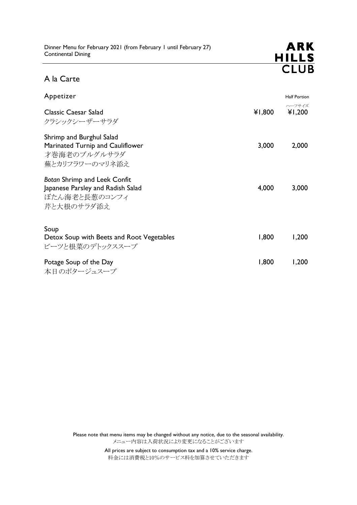

## A la Carte

| Appetizer                                                                                               |        | <b>Half Portion</b> |
|---------------------------------------------------------------------------------------------------------|--------|---------------------|
| <b>Classic Caesar Salad</b><br>クラシックシーザーサラダ                                                             | ¥1,800 | ハーフサイズ<br>¥1,200    |
| Shrimp and Burghul Salad<br>Marinated Turnip and Cauliflower<br>才巻海老のブルグルサラダ<br>蕪とカリフラワーのマリネ添え          | 3,000  | 2,000               |
| <b>Botan Shrimp and Leek Confit</b><br>Japanese Parsley and Radish Salad<br>ぼたん海老と長葱のコンフィ<br>芹と大根のサラダ添え | 4,000  | 3,000               |
| Soup<br>Detox Soup with Beets and Root Vegetables<br>ビーツと根菜のデトックススープ                                    | 1,800  | 1,200               |
| Potage Soup of the Day<br>本日のポタージュスープ                                                                   | 1,800  | 1,200               |

Please note that menu items may be changed without any notice, due to the seasonal availability. メニュー内容は入荷状況により変更になることがございます